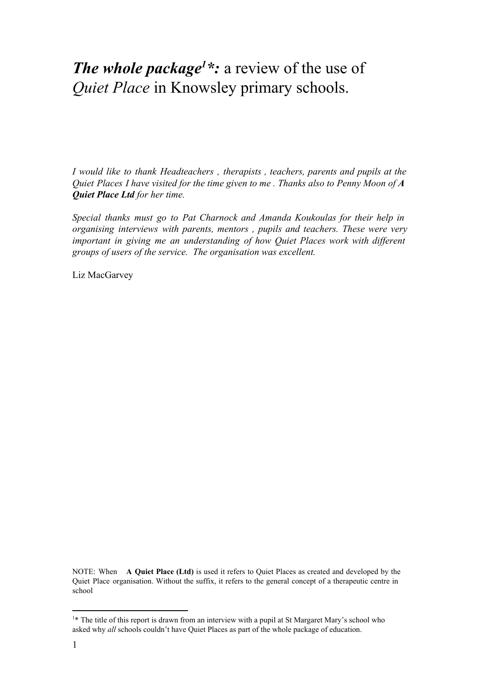# *The whole package*<sup>1</sup>  $\cdot$ : a review of the use of *Quiet Place* in Knowsley primary schools.

*I would like to thank Headteachers , therapists , teachers, parents and pupils at the Quiet Places I have visited for the time given to me . Thanks also to Penny Moon of A Quiet Place Ltd for her time.*

*Special thanks must go to Pat Charnock and Amanda Koukoulas for their help in organising interviews with parents, mentors , pupils and teachers. These were very important in giving me an understanding of how Quiet Places work with dif erent groups of users of the service. The organisation was excellent.*

Liz MacGarvey

NOTE: When **A Quiet Place (Ltd)** is used it refers to Quiet Places as created and developed by the Quiet Place organisation. Without the suffix, it refers to the general concept of a therapeutic centre in school

<sup>&</sup>lt;sup>1\*</sup> The title of this report is drawn from an interview with a pupil at St Margaret Mary's school who asked why *all* schools couldn't have Quiet Places as part of the whole package of education.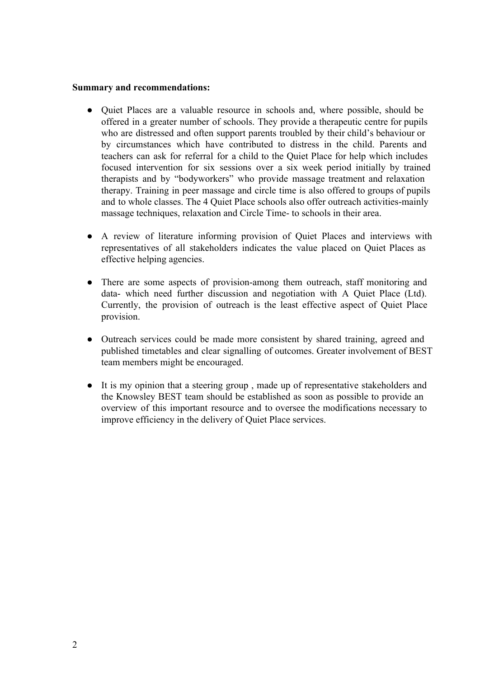#### **Summary and recommendations:**

- Quiet Places are a valuable resource in schools and, where possible, should be offered in a greater number of schools. They provide a therapeutic centre for pupils who are distressed and often support parents troubled by their child's behaviour or by circumstances which have contributed to distress in the child. Parents and teachers can ask for referral for a child to the Quiet Place for help which includes focused intervention for six sessions over a six week period initially by trained therapists and by "bodyworkers" who provide massage treatment and relaxation therapy. Training in peer massage and circle time is also offered to groups of pupils and to whole classes. The 4 Quiet Place schools also offer outreach activities-mainly massage techniques, relaxation and Circle Time- to schools in their area.
- A review of literature informing provision of Quiet Places and interviews with representatives of all stakeholders indicates the value placed on Quiet Places as effective helping agencies.
- There are some aspects of provision-among them outreach, staff monitoring and data- which need further discussion and negotiation with A Quiet Place (Ltd). Currently, the provision of outreach is the least effective aspect of Quiet Place provision.
- Outreach services could be made more consistent by shared training, agreed and published timetables and clear signalling of outcomes. Greater involvement of BEST team members might be encouraged.
- It is my opinion that a steering group , made up of representative stakeholders and the Knowsley BEST team should be established as soon as possible to provide an overview of this important resource and to oversee the modifications necessary to improve efficiency in the delivery of Quiet Place services.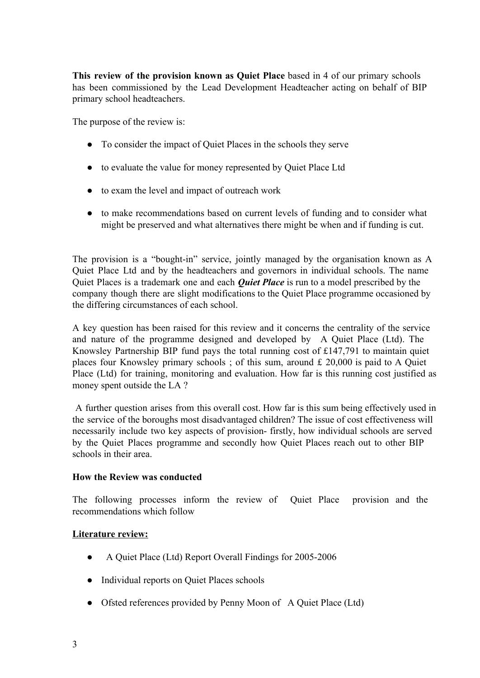**This review of the provision known as Quiet Place** based in 4 of our primary schools has been commissioned by the Lead Development Headteacher acting on behalf of BIP primary school headteachers.

The purpose of the review is:

- To consider the impact of Quiet Places in the schools they serve
- to evaluate the value for money represented by Quiet Place Ltd
- to exam the level and impact of outreach work
- to make recommendations based on current levels of funding and to consider what might be preserved and what alternatives there might be when and if funding is cut.

The provision is a "bought-in" service, jointly managed by the organisation known as A Quiet Place Ltd and by the headteachers and governors in individual schools. The name Quiet Places is a trademark one and each *Quiet Place* is run to a model prescribed by the company though there are slight modifications to the Quiet Place programme occasioned by the differing circumstances of each school.

A key question has been raised for this review and it concerns the centrality of the service and nature of the programme designed and developed by A Quiet Place (Ltd). The Knowsley Partnership BIP fund pays the total running cost of £147,791 to maintain quiet places four Knowsley primary schools ; of this sum, around £ 20,000 is paid to A Quiet Place (Ltd) for training, monitoring and evaluation. How far is this running cost justified as money spent outside the LA ?

A further question arises from this overall cost. How far is this sum being effectively used in the service of the boroughs most disadvantaged children? The issue of cost effectiveness will necessarily include two key aspects of provision- firstly, how individual schools are served by the Quiet Places programme and secondly how Quiet Places reach out to other BIP schools in their area.

#### **How the Review was conducted**

The following processes inform the review of Quiet Place provision and the recommendations which follow

#### **Literature review:**

- A Quiet Place (Ltd) Report Overall Findings for 2005-2006
- Individual reports on Quiet Places schools
- Ofsted references provided by Penny Moon of A Quiet Place (Ltd)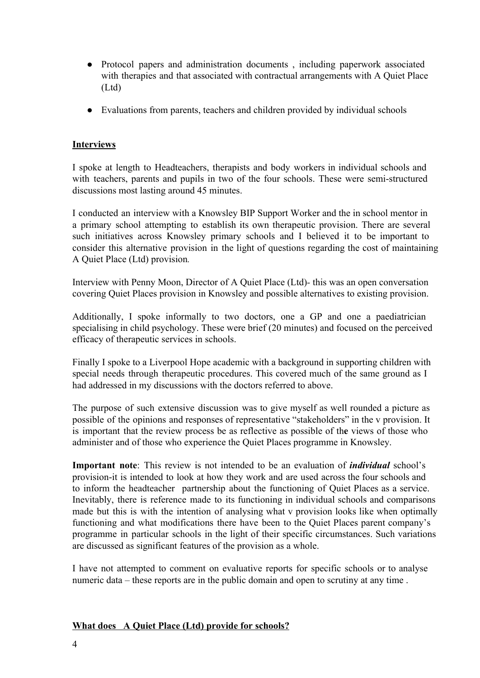- Protocol papers and administration documents , including paperwork associated with therapies and that associated with contractual arrangements with A Quiet Place (Ltd)
- Evaluations from parents, teachers and children provided by individual schools

## **Interviews**

I spoke at length to Headteachers, therapists and body workers in individual schools and with teachers, parents and pupils in two of the four schools. These were semi-structured discussions most lasting around 45 minutes.

I conducted an interview with a Knowsley BIP Support Worker and the in school mentor in a primary school attempting to establish its own therapeutic provision. There are several such initiatives across Knowsley primary schools and I believed it to be important to consider this alternative provision in the light of questions regarding the cost of maintaining A Quiet Place (Ltd) provision*.*

Interview with Penny Moon, Director of A Quiet Place (Ltd)- this was an open conversation covering Quiet Places provision in Knowsley and possible alternatives to existing provision.

Additionally, I spoke informally to two doctors, one a GP and one a paediatrician specialising in child psychology. These were brief (20 minutes) and focused on the perceived efficacy of therapeutic services in schools.

Finally I spoke to a Liverpool Hope academic with a background in supporting children with special needs through therapeutic procedures. This covered much of the same ground as I had addressed in my discussions with the doctors referred to above.

The purpose of such extensive discussion was to give myself as well rounded a picture as possible of the opinions and responses of representative "stakeholders" in the v provision. It is important that the review process be as reflective as possible of th**e** views of those who administer and of those who experience the Quiet Places programme in Knowsley.

**Important note**: This review is not intended to be an evaluation of *individual* school's provision-it is intended to look at how they work and are used across the four schools and to inform the headteacher partnership about the functioning of Quiet Places as a service. Inevitably, there is reference made to its functioning in individual schools and comparisons made but this is with the intention of analysing what v provision looks like when optimally functioning and what modifications there have been to the Quiet Places parent company's programme in particular schools in the light of their specific circumstances. Such variations are discussed as significant features of the provision as a whole.

I have not attempted to comment on evaluative reports for specific schools or to analyse numeric data – these reports are in the public domain and open to scrutiny at any time .

## **What does A Quiet Place (Ltd) provide for schools?**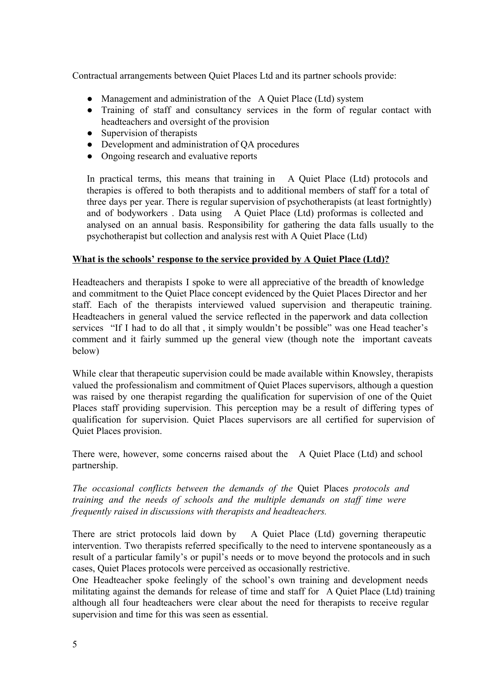Contractual arrangements between Quiet Places Ltd and its partner schools provide:

- Management and administration of the A Quiet Place (Ltd) system
- Training of staff and consultancy services in the form of regular contact with headteachers and oversight of the provision
- Supervision of therapists
- Development and administration of OA procedures
- Ongoing research and evaluative reports

In practical terms, this means that training in A Quiet Place (Ltd) protocols and therapies is offered to both therapists and to additional members of staff for a total of three days per year. There is regular supervision of psychotherapists (at least fortnightly) and of bodyworkers . Data using A Quiet Place (Ltd) proformas is collected and analysed on an annual basis. Responsibility for gathering the data falls usually to the psychotherapist but collection and analysis rest with A Quiet Place (Ltd)

#### **What is the schools' response to the service provided by A Quiet Place (Ltd)?**

Headteachers and therapists I spoke to were all appreciative of the breadth of knowledge and commitment to the Quiet Place concept evidenced by the Quiet Places Director and her staff. Each of the therapists interviewed valued supervision and therapeutic training. Headteachers in general valued the service reflected in the paperwork and data collection services "If I had to do all that , it simply wouldn't be possible" was one Head teacher's comment and it fairly summed up the general view (though note the important caveats below)

While clear that therapeutic supervision could be made available within Knowsley, therapists valued the professionalism and commitment of Quiet Places supervisors, although a question was raised by one therapist regarding the qualification for supervision of one of the Quiet Places staff providing supervision. This perception may be a result of differing types of qualification for supervision. Quiet Places supervisors are all certified for supervision of Quiet Places provision.

There were, however, some concerns raised about the A Quiet Place (Ltd) and school partnership.

*The occasional conflicts between the demands of the* Quiet Places *protocols and training and the needs of schools and the multiple demands on staf time were frequently raised in discussions with therapists and headteachers.*

There are strict protocols laid down by A Quiet Place (Ltd) governing therapeutic intervention. Two therapists referred specifically to the need to intervene spontaneously as a result of a particular family's or pupil's needs or to move beyond the protocols and in such cases, Quiet Places protocols were perceived as occasionally restrictive.

One Headteacher spoke feelingly of the school's own training and development needs militating against the demands for release of time and staff for A Quiet Place (Ltd) training although all four headteachers were clear about the need for therapists to receive regular supervision and time for this was seen as essential.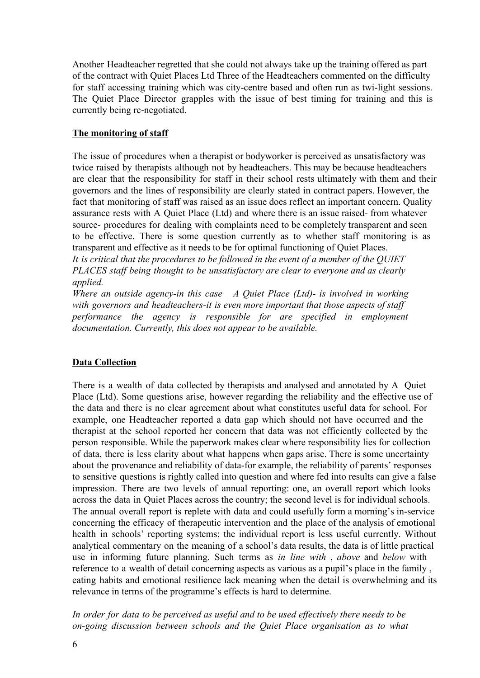Another Headteacher regretted that she could not always take up the training offered as part of the contract with Quiet Places Ltd Three of the Headteachers commented on the difficulty for staff accessing training which was city-centre based and often run as twi-light sessions. The Quiet Place Director grapples with the issue of best timing for training and this is currently being re-negotiated.

### **The monitoring of staff**

The issue of procedures when a therapist or bodyworker is perceived as unsatisfactory was twice raised by therapists although not by headteachers. This may be because headteachers are clear that the responsibility for staff in their school rests ultimately with them and their governors and the lines of responsibility are clearly stated in contract papers. However, the fact that monitoring of staff was raised as an issue does reflect an important concern. Quality assurance rests with A Quiet Place (Ltd) and where there is an issue raised-from whatever source- procedures for dealing with complaints need to be completely transparent and seen to be effective. There is some question currently as to whether staff monitoring is as transparent and effective as it needs to be for optimal functioning of Quiet Places.

*It is critical that the procedures to be followed in the event of a member of the QUIET PLACES staf being thought to be unsatisfactory are clear to everyone and as clearly applied.*

*Where* an outside agency-in this case A Quiet Place (Ltd)- is involved in working *with* governors and headteachers-it is even more important that those aspects of staff *performance the agency is responsible for are specified in employment documentation. Currently, this does not appear to be available.*

## **Data Collection**

There is a wealth of data collected by therapists and analysed and annotated by A Quiet Place (Ltd). Some questions arise, however regarding the reliability and the effective use of the data and there is no clear agreement about what constitutes useful data for school. For example, one Headteacher reported a data gap which should not have occurred and the therapist at the school reported her concern that data was not efficiently collected by the person responsible. While the paperwork makes clear where responsibility lies for collection of data, there is less clarity about what happens when gaps arise. There is some uncertainty about the provenance and reliability of data-for example, the reliability of parents' responses to sensitive questions is rightly called into question and where fed into results can give a false impression. There are two levels of annual reporting: one, an overall report which looks across the data in Quiet Places across the country; the second level is for individual schools. The annual overall report is replete with data and could usefully form a morning's in-service concerning the efficacy of therapeutic intervention and the place of the analysis of emotional health in schools' reporting systems; the individual report is less useful currently. Without analytical commentary on the meaning of a school's data results, the data is of little practical use in informing future planning. Such terms as *in line with* , *above* and *below* with reference to a wealth of detail concerning aspects as various as a pupil's place in the family , eating habits and emotional resilience lack meaning when the detail is overwhelming and its relevance in terms of the programme's effects is hard to determine.

*In order for data to be perceived as useful and to be used ef ectively there needs to be ongoing discussion between schools and the Quiet Place organisation as to what*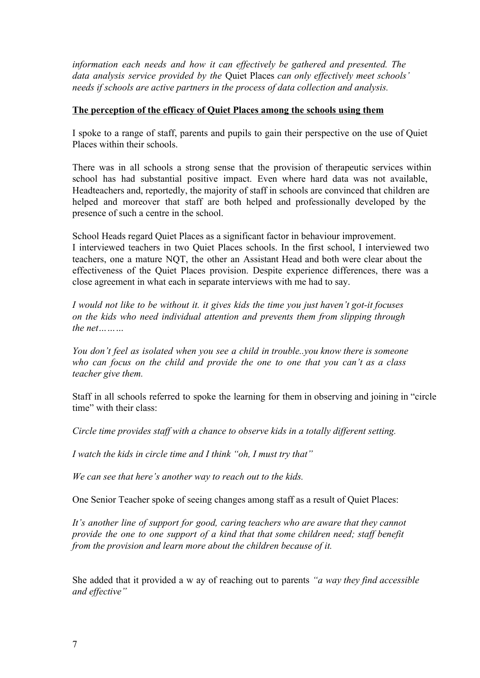*information each needs and how it can ef ectively be gathered and presented. The data analysis service provided by the* Quiet Places *can only ef ectively meet schools' needs if schools are active partners in the process of data collection and analysis.*

### **The perception of the efficacy of Quiet Places among the schools using them**

I spoke to a range of staff, parents and pupils to gain their perspective on the use of Quiet Places within their schools.

There was in all schools a strong sense that the provision of therapeutic services within school has had substantial positive impact. Even where hard data was not available, Headteachers and, reportedly, the majority of staff in schools are convinced that children are helped and moreover that staff are both helped and professionally developed by the presence of such a centre in the school.

School Heads regard Quiet Places as a significant factor in behaviour improvement. I interviewed teachers in two Quiet Places schools. In the first school, I interviewed two teachers, one a mature NQT, the other an Assistant Head and both were clear about the effectiveness of the Quiet Places provision. Despite experience differences, there was a close agreement in what each in separate interviews with me had to say.

*I would not like to be without it. it gives kids the time you just haven't gotit focuses on the kids who need individual attention and prevents them from slipping through the net* 

*You don't feel as isolated when you see a child in trouble..you know there is someone who can focus on the child and provide the one to one that you can't as a class teacher give them.*

Staff in all schools referred to spoke the learning for them in observing and joining in "circle time" with their class:

*Circle time provides staf with a chance to observe kids in a totally dif erent setting.*

*I watch the kids in circle time and I think "oh, I must try that"*

*We can see that here's another way to reach out to the kids.*

One Senior Teacher spoke of seeing changes among staff as a result of Quiet Places:

*It's another line of support for good, caring teachers who are aware that they cannot provide the one to one support of a kind that that some children need; staf benefit from the provision and learn more about the children because of it.*

She added that it provided a w ay of reaching out to parents *"a way they find accessible and ef ective"*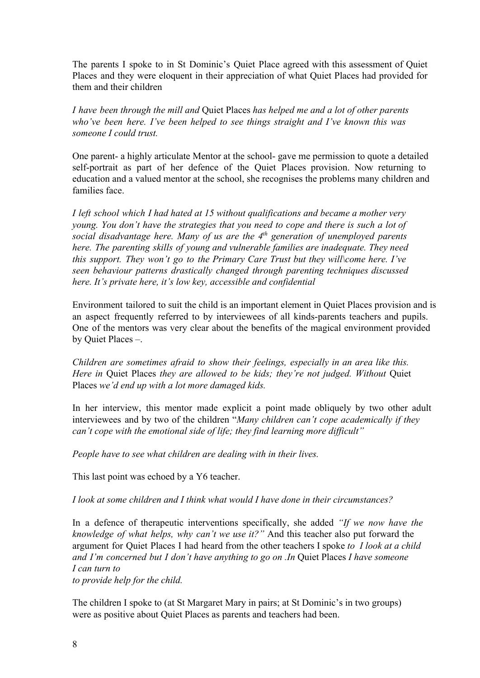The parents I spoke to in St Dominic's Quiet Place agreed with this assessment of Quiet Places and they were eloquent in their appreciation of what Quiet Places had provided for them and their children

*I have been through the mill and* Quiet Places *has helped me and a lot of other parents who've been here. I've been helped to see things straight and I've known this was someone I could trust.*

One parent- a highly articulate Mentor at the school- gave me permission to quote a detailed self-portrait as part of her defence of the Quiet Places provision. Now returning to education and a valued mentor at the school, she recognises the problems many children and families face.

*I left school which I had hated at 15 without qualifications and became a mother very young. You don't have the strategies that you need to cope and there is such a lot of social disadvantage here. Many of us are the 4 th generation of unemployed parents here. The parenting skills of young and vulnerable families are inadequate. They need this support. They won't go to the Primary Care Trust but they will\come here. I've seen behaviour patterns drastically changed through parenting techniques discussed here. It's private here, it's low key, accessible and confidential*

Environment tailored to suit the child is an important element in Quiet Places provision and is an aspect frequently referred to by interviewees of all kinds-parents teachers and pupils. One of the mentors was very clear about the benefits of the magical environment provided by Quiet Places –.

*Children are sometimes afraid to show their feelings, especially in an area like this. Here in* Quiet Places *they are allowed to be kids; they're not judged. Without* Quiet Places *we'd end up with a lot more damaged kids.*

In her interview, this mentor made explicit a point made obliquely by two other adult interviewees and by two of the children "*Many children can't cope academically if they can't cope with the emotional side of life; they find learning more dif icult"*

*People have to see what children are dealing with in their lives.*

This last point was echoed by a Y6 teacher.

*I look at some children and I think what would I have done in their circumstances?*

In a defence of therapeutic interventions specifically, she added *"If we now have the knowledge of what helps, why can't we use it?"* And this teacher also put forward the argument for Quiet Places I had heard from the other teachers I spoke *to I look at a child and I'm concerned but I don't have anything to go on .In* Quiet Places *I have someone I can turn to*

*to provide help for the child.*

The children I spoke to (at St Margaret Mary in pairs; at St Dominic's in two groups) were as positive about Quiet Places as parents and teachers had been.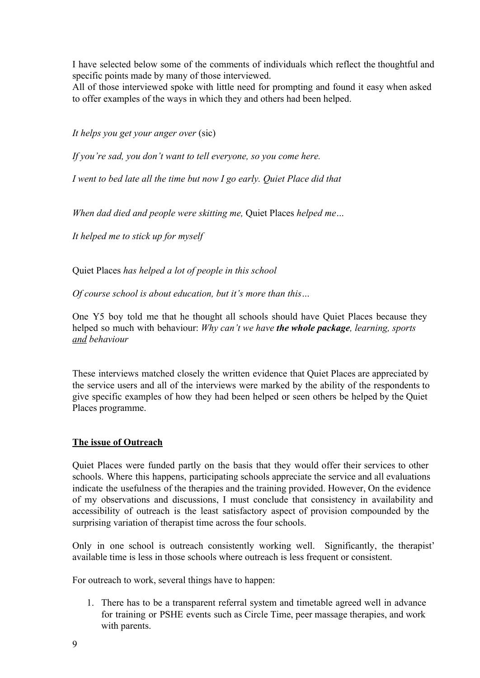I have selected below some of the comments of individuals which reflect the thoughtful and specific points made by many of those interviewed.

All of those interviewed spoke with little need for prompting and found it easy when asked to offer examples of the ways in which they and others had been helped.

*It helps you get your anger over* (sic)

*If you're sad, you don't want to tell everyone, so you come here.*

*I went to bed late all the time but now I go early. Quiet Place did that*

*When dad died and people were skitting me,* Quiet Places *helped me…*

*It helped me to stick up for myself*

Quiet Places *has helped a lot of people in this school*

*Of course school is about education, but it's more than this…*

One Y5 boy told me that he thought all schools should have Quiet Places because they helped so much with behaviour: *Why can't we have the whole package, learning, sports and behaviour*

These interviews matched closely the written evidence that Quiet Places are appreciated by the service users and all of the interviews were marked by the ability of the respondents to give specific examples of how they had been helped or seen others be helped by the Quiet Places programme.

## **The issue of Outreach**

Quiet Places were funded partly on the basis that they would offer their services to other schools. Where this happens, participating schools appreciate the service and all evaluations indicate the usefulness of the therapies and the training provided. However, On the evidence of my observations and discussions, I must conclude that consistency in availability and accessibility of outreach is the least satisfactory aspect of provision compounded by the surprising variation of therapist time across the four schools.

Only in one school is outreach consistently working well. Significantly, the therapist' available time is less in those schools where outreach is less frequent or consistent.

For outreach to work, several things have to happen:

1. There has to be a transparent referral system and timetable agreed well in advance for training or PSHE events such as Circle Time, peer massage therapies, and work with parents.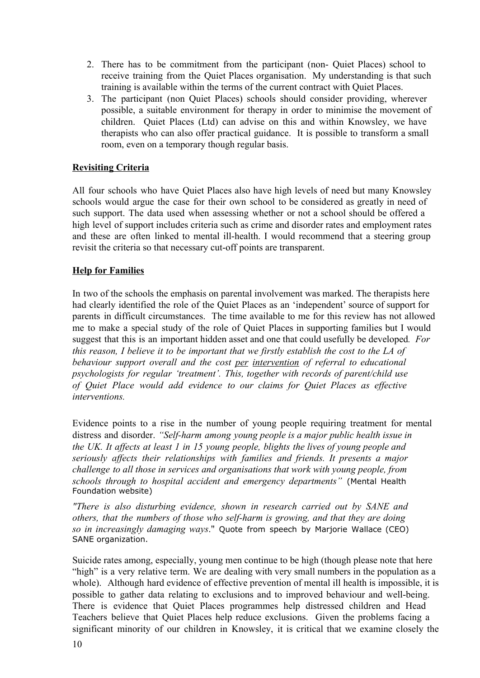- 2. There has to be commitment from the participant (non-Quiet Places) school to receive training from the Quiet Places organisation. My understanding is that such training is available within the terms of the current contract with Quiet Places.
- 3. The participant (non Quiet Places) schools should consider providing, wherever possible, a suitable environment for therapy in order to minimise the movement of children. Quiet Places (Ltd) can advise on this and within Knowsley, we have therapists who can also offer practical guidance. It is possible to transform a small room, even on a temporary though regular basis.

## **Revisiting Criteria**

All four schools who have Quiet Places also have high levels of need but many Knowsley schools would argue the case for their own school to be considered as greatly in need of such support. The data used when assessing whether or not a school should be offered a high level of support includes criteria such as crime and disorder rates and employment rates and these are often linked to mental ill-health. I would recommend that a steering group revisit the criteria so that necessary cut-off points are transparent.

## **Help for Families**

In two of the schools the emphasis on parental involvement was marked. The therapists here had clearly identified the role of the Quiet Places as an 'independent' source of support for parents in difficult circumstances. The time available to me for this review has not allowed me to make a special study of the role of Quiet Places in supporting families but I would suggest that this is an important hidden asset and one that could usefully be developed*. For this reason, I believe it to be important that we firstly establish the cost to the LA of behaviour support overall and the cost per intervention of referral to educational psychologists for regular 'treatment'. This, together with records of parent/child use of Quiet Place would add evidence to our claims for Quiet Places as ef ective interventions.*

Evidence points to a rise in the number of young people requiring treatment for mental distress and disorder. *"Selfharm among young people is a major public health issue in the UK. It af ects at least 1 in 15 young people, blights the lives of young people and seriously af ects their relationships with families and friends. It presents a major challenge to all those in services and organisations that work with young people, from schools through to hospital accident and emergency departments"* (Mental Health Foundation website)

*"There is also disturbing evidence, shown in research carried out by SANE and others, that the numbers of those who selfharm is growing, and that they are doing so in increasingly damaging ways*." Quote from speech by Marjorie Wallace (CEO) SANE organization.

Suicide rates among, especially, young men continue to be high (though please note that here "high" is a very relative term. We are dealing with very small numbers in the population as a whole). Although hard evidence of effective prevention of mental ill health is impossible, it is possible to gather data relating to exclusions and to improved behaviour and well-being. There is evidence that Quiet Places programmes help distressed children and Head Teachers believe that Quiet Places help reduce exclusions. Given the problems facing a significant minority of our children in Knowsley, it is critical that we examine closely the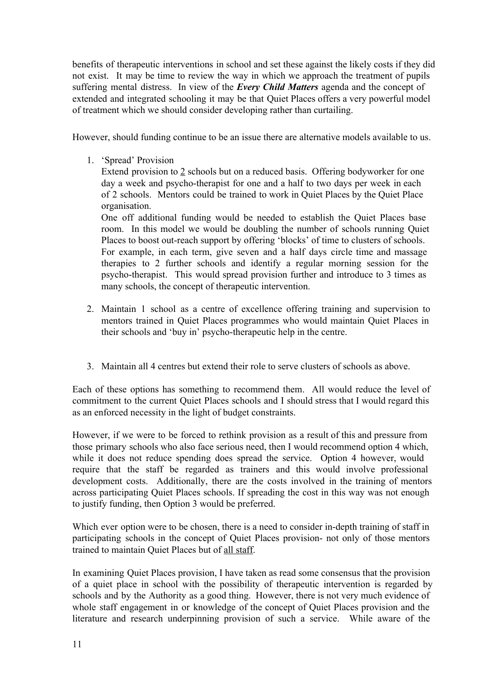benefits of therapeutic interventions in school and set these against the likely costs if they did not exist. It may be time to review the way in which we approach the treatment of pupils suffering mental distress. In view of the *Every Child Matters* agenda and the concept of extended and integrated schooling it may be that Quiet Places offers a very powerful model of treatment which we should consider developing rather than curtailing.

However, should funding continue to be an issue there are alternative models available to us.

1. 'Spread' Provision

Extend provision to 2 schools but on a reduced basis. Offering bodyworker for one day a week and psycho-therapist for one and a half to two days per week in each of 2 schools. Mentors could be trained to work in Quiet Places by the Quiet Place organisation.

One off additional funding would be needed to establish the Quiet Places base room. In this model we would be doubling the number of schools running Quiet Places to boost out-reach support by offering 'blocks' of time to clusters of schools. For example, in each term, give seven and a half days circle time and massage therapies to 2 further schools and identify a regular morning session for the psycho-therapist. This would spread provision further and introduce to 3 times as many schools, the concept of therapeutic intervention.

- 2. Maintain 1 school as a centre of excellence offering training and supervision to mentors trained in Quiet Places programmes who would maintain Quiet Places in their schools and 'buy in' psycho-therapeutic help in the centre.
- 3. Maintain all 4 centres but extend their role to serve clusters of schools as above.

Each of these options has something to recommend them. All would reduce the level of commitment to the current Quiet Places schools and I should stress that I would regard this as an enforced necessity in the light of budget constraints.

However, if we were to be forced to rethink provision as a result of this and pressure from those primary schools who also face serious need, then I would recommend option 4 which, while it does not reduce spending does spread the service. Option 4 however, would require that the staff be regarded as trainers and this would involve professional development costs. Additionally, there are the costs involved in the training of mentors across participating Quiet Places schools. If spreading the cost in this way was not enough to justify funding, then Option 3 would be preferred.

Which ever option were to be chosen, there is a need to consider in-depth training of staff in participating schools in the concept of Quiet Places provision- not only of those mentors trained to maintain Quiet Places but of all staff.

In examining Quiet Places provision, I have taken as read some consensus that the provision of a quiet place in school with the possibility of therapeutic intervention is regarded by schools and by the Authority as a good thing. However, there is not very much evidence of whole staff engagement in or knowledge of the concept of Quiet Places provision and the literature and research underpinning provision of such a service. While aware of the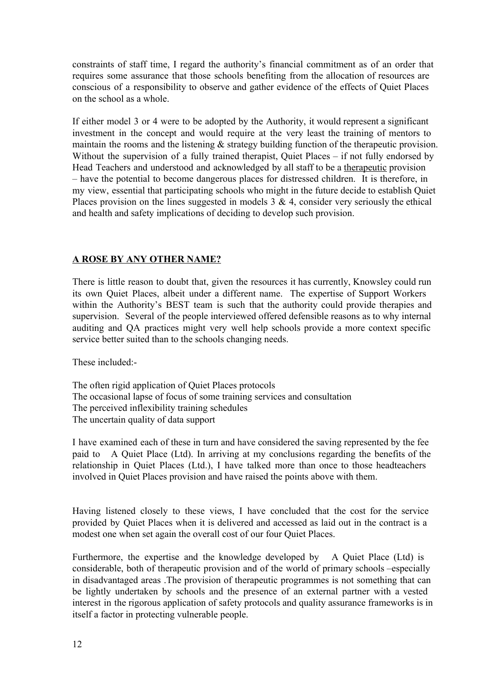constraints of staff time, I regard the authority's financial commitment as of an order that requires some assurance that those schools benefiting from the allocation of resources are conscious of a responsibility to observe and gather evidence of the effects of Quiet Places on the school as a whole.

If either model 3 or 4 were to be adopted by the Authority, it would represent a significant investment in the concept and would require at the very least the training of mentors to maintain the rooms and the listening & strategy building function of the therapeutic provision. Without the supervision of a fully trained therapist, Quiet Places – if not fully endorsed by Head Teachers and understood and acknowledged by all staff to be a therapeutic provision – have the potential to become dangerous places for distressed children. It is therefore, in my view, essential that participating schools who might in the future decide to establish Quiet Places provision on the lines suggested in models  $3 \& 4$ , consider very seriously the ethical and health and safety implications of deciding to develop such provision.

#### **A ROSE BY ANY OTHER NAME?**

There is little reason to doubt that, given the resources it has currently, Knowsley could run its own Quiet Places, albeit under a different name. The expertise of Support Workers within the Authority's BEST team is such that the authority could provide therapies and supervision. Several of the people interviewed offered defensible reasons as to why internal auditing and QA practices might very well help schools provide a more context specific service better suited than to the schools changing needs.

These included:

The often rigid application of Quiet Places protocols The occasional lapse of focus of some training services and consultation The perceived inflexibility training schedules The uncertain quality of data support

I have examined each of these in turn and have considered the saving represented by the fee paid to A Quiet Place (Ltd). In arriving at my conclusions regarding the benefits of the relationship in Quiet Places (Ltd.), I have talked more than once to those headteachers involved in Quiet Places provision and have raised the points above with them.

Having listened closely to these views, I have concluded that the cost for the service provided by Quiet Places when it is delivered and accessed as laid out in the contract is a modest one when set again the overall cost of our four Quiet Places.

Furthermore, the expertise and the knowledge developed by A Quiet Place (Ltd) is considerable, both of therapeutic provision and of the world of primary schools –especially in disadvantaged areas .The provision of therapeutic programmes is not something that can be lightly undertaken by schools and the presence of an external partner with a vested interest in the rigorous application of safety protocols and quality assurance frameworks is in itself a factor in protecting vulnerable people.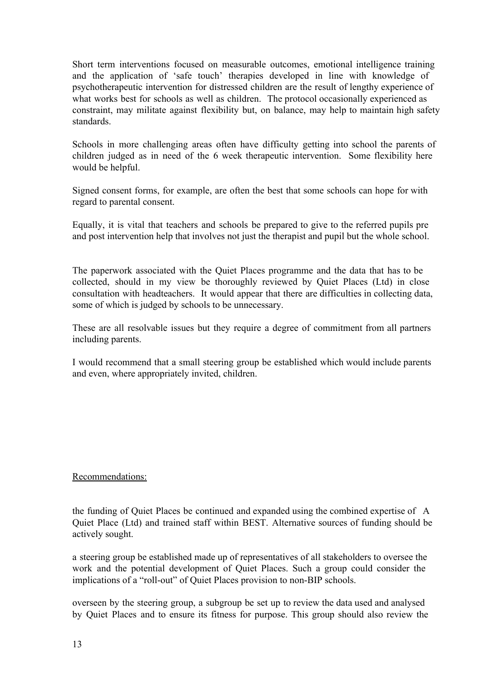Short term interventions focused on measurable outcomes, emotional intelligence training and the application of 'safe touch' therapies developed in line with knowledge of psychotherapeutic intervention for distressed children are the result of lengthy experience of what works best for schools as well as children. The protocol occasionally experienced as constraint, may militate against flexibility but, on balance, may help to maintain high safety standards.

Schools in more challenging areas often have difficulty getting into school the parents of children judged as in need of the 6 week therapeutic intervention. Some flexibility here would be helpful.

Signed consent forms, for example, are often the best that some schools can hope for with regard to parental consent.

Equally, it is vital that teachers and schools be prepared to give to the referred pupils pre and post intervention help that involves not just the therapist and pupil but the whole school.

The paperwork associated with the Quiet Places programme and the data that has to be collected, should in my view be thoroughly reviewed by Quiet Places (Ltd) in close consultation with headteachers. It would appear that there are difficulties in collecting data, some of which is judged by schools to be unnecessary.

These are all resolvable issues but they require a degree of commitment from all partners including parents.

I would recommend that a small steering group be established which would include parents and even, where appropriately invited, children.

#### Recommendations:

the funding of Quiet Places be continued and expanded using the combined expertise of A Quiet Place (Ltd) and trained staff within BEST. Alternative sources of funding should be actively sought.

a steering group be established made up of representatives of all stakeholders to oversee the work and the potential development of Quiet Places. Such a group could consider the implications of a "roll-out" of Quiet Places provision to non-BIP schools.

overseen by the steering group, a subgroup be set up to review the data used and analysed by Quiet Places and to ensure its fitness for purpose. This group should also review the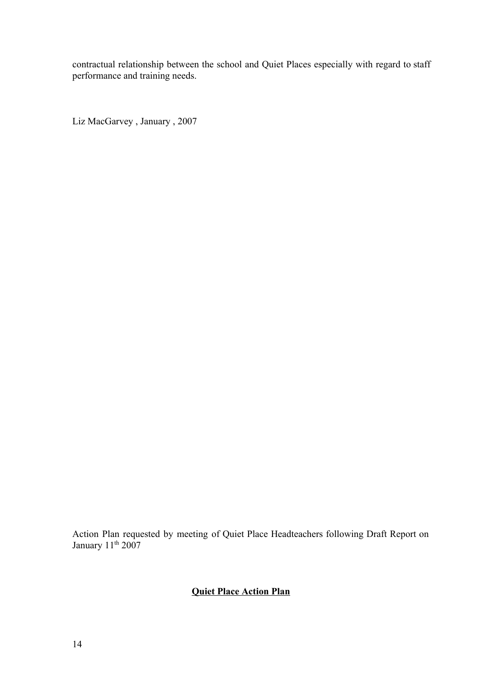contractual relationship between the school and Quiet Places especially with regard to staff performance and training needs.

Liz MacGarvey , January , 2007

Action Plan requested by meeting of Quiet Place Headteachers following Draft Report on January 11<sup>th</sup> 2007

# **Quiet Place Action Plan**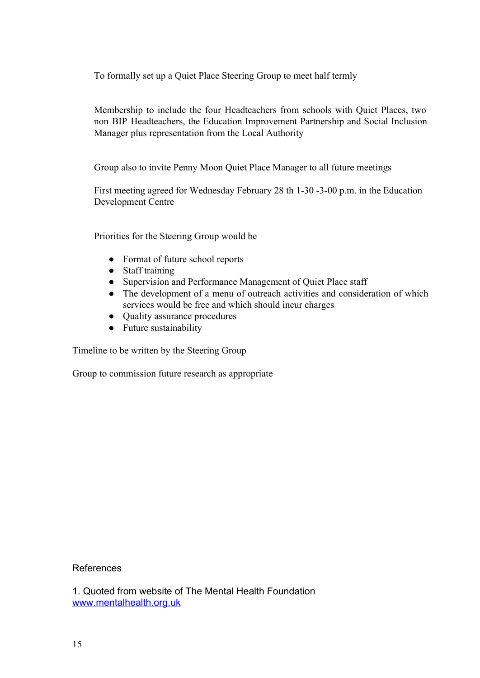To formally set up a Quiet Place Steering Group to meet half termly

Membership to include the four Headteachers from schools with Quiet Places, two non BIP Headteachers, the Education Improvement Partnership and Social Inclusion Manager plus representation from the Local Authority

Group also to invite Penny Moon Quiet Place Manager to all future meetings

First meeting agreed for Wednesday February 28 th 1-30 -3-00 p.m. in the Education Development Centre

Priorities for the Steering Group would be

- Format of future school reports
- Staff training
- Supervision and Performance Management of Quiet Place staff
- The development of a menu of outreach activities and consideration of which services would be free and which should incur charges
- Quality assurance procedures
- Future sustainability

Timeline to be written by the Steering Group

Group to commission future research as appropriate

References

1. Quoted from website of The Mental Health Foundation [www.mentalhealth.org.uk](http://www.google.com/url?q=http%3A%2F%2Fwww.mentalhealth.org.uk%2F&sa=D&sntz=1&usg=AFQjCNHAUhH6-TJ_jBegqHiQbiJoml_Z5g)